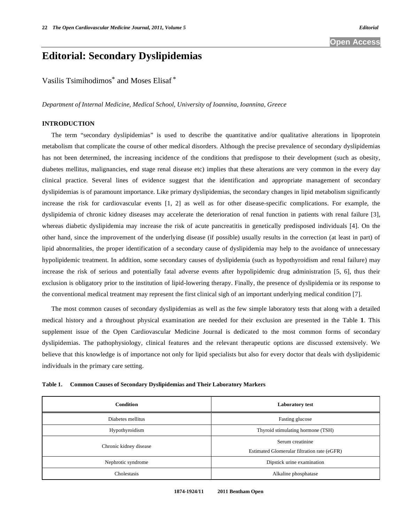## **Editorial: Secondary Dyslipidemias**

Vasilis Tsimihodimos\* and Moses Elisaf \*

*Department of Internal Medicine, Medical School, University of Ioannina, Ioannina, Greece* 

## **INTRODUCTION**

 The term "secondary dyslipidemias" is used to describe the quantitative and/or qualitative alterations in lipoprotein metabolism that complicate the course of other medical disorders. Although the precise prevalence of secondary dyslipidemias has not been determined, the increasing incidence of the conditions that predispose to their development (such as obesity, diabetes mellitus, malignancies, end stage renal disease etc) implies that these alterations are very common in the every day clinical practice. Several lines of evidence suggest that the identification and appropriate management of secondary dyslipidemias is of paramount importance. Like primary dyslipidemias, the secondary changes in lipid metabolism significantly increase the risk for cardiovascular events [1, 2] as well as for other disease-specific complications. For example, the dyslipidemia of chronic kidney diseases may accelerate the deterioration of renal function in patients with renal failure [3], whereas diabetic dyslipidemia may increase the risk of acute pancreatitis in genetically predisposed individuals [4]. On the other hand, since the improvement of the underlying disease (if possible) usually results in the correction (at least in part) of lipid abnormalities, the proper identification of a secondary cause of dyslipidemia may help to the avoidance of unnecessary hypolipidemic treatment. In addition, some secondary causes of dyslipidemia (such as hypothyroidism and renal failure) may increase the risk of serious and potentially fatal adverse events after hypolipidemic drug administration [5, 6], thus their exclusion is obligatory prior to the institution of lipid-lowering therapy. Finally, the presence of dyslipidemia or its response to the conventional medical treatment may represent the first clinical sigh of an important underlying medical condition [7].

 The most common causes of secondary dyslipidemias as well as the few simple laboratory tests that along with a detailed medical history and a throughout physical examination are needed for their exclusion are presented in the Table **1**. This supplement issue of the Open Cardiovascular Medicine Journal is dedicated to the most common forms of secondary dyslipidemias. The pathophysiology, clinical features and the relevant therapeutic options are discussed extensively. We believe that this knowledge is of importance not only for lipid specialists but also for every doctor that deals with dyslipidemic individuals in the primary care setting.

|  |  | Table 1. Common Causes of Secondary Dyslipidemias and Their Laboratory Markers |  |  |
|--|--|--------------------------------------------------------------------------------|--|--|
|  |  |                                                                                |  |  |

| <b>Condition</b>       | <b>Laboratory test</b>                                          |  |  |
|------------------------|-----------------------------------------------------------------|--|--|
| Diabetes mellitus      | Fasting glucose                                                 |  |  |
| Hypothyroidism         | Thyroid stimulating hormone (TSH)                               |  |  |
| Chronic kidney disease | Serum creatinine<br>Estimated Glomerular filtration rate (eGFR) |  |  |
| Nephrotic syndrome     | Dipstick urine examination                                      |  |  |
| Cholestasis            | Alkaline phosphatase                                            |  |  |